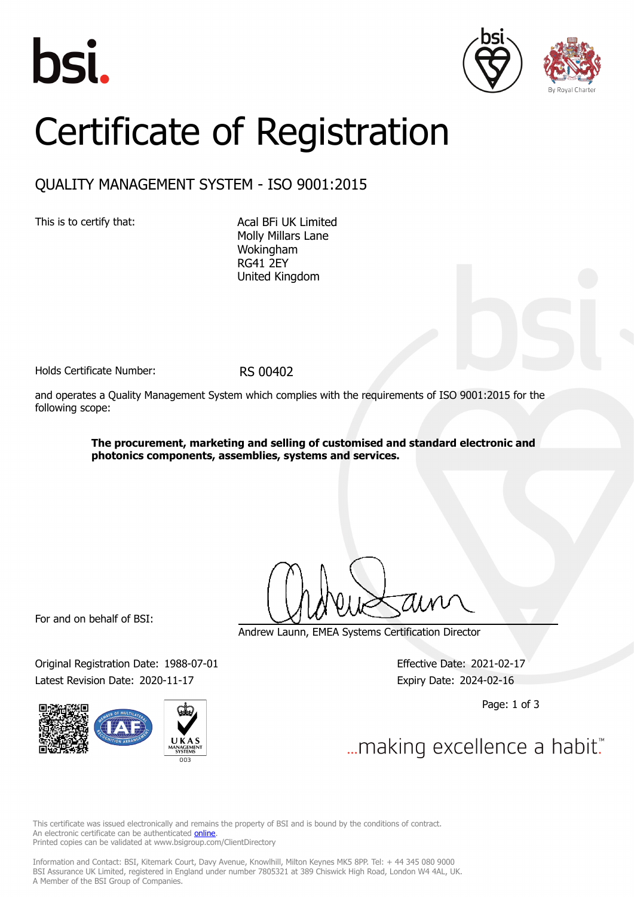





# Certificate of Registration

## QUALITY MANAGEMENT SYSTEM - ISO 9001:2015

This is to certify that: Acal BFi UK Limited

Molly Millars Lane Wokingham RG41 2EY United Kingdom

Holds Certificate Number: RS 00402

and operates a Quality Management System which complies with the requirements of ISO 9001:2015 for the following scope:

> **The procurement, marketing and selling of customised and standard electronic and photonics components, assemblies, systems and services.**

For and on behalf of BSI:

Original Registration Date: 1988-07-01 Effective Date: 2021-02-17 Latest Revision Date: 2020-11-17 Expiry Date: 2024-02-16



Andrew Launn, EMEA Systems Certification Director

Page: 1 of 3

... making excellence a habit."

This certificate was issued electronically and remains the property of BSI and is bound by the conditions of contract. An electronic certificate can be authenticated **[online](https://pgplus.bsigroup.com/CertificateValidation/CertificateValidator.aspx?CertificateNumber=RS+00402&ReIssueDate=17%2f11%2f2020&Template=uk)**. Printed copies can be validated at www.bsigroup.com/ClientDirectory

Information and Contact: BSI, Kitemark Court, Davy Avenue, Knowlhill, Milton Keynes MK5 8PP. Tel: + 44 345 080 9000 BSI Assurance UK Limited, registered in England under number 7805321 at 389 Chiswick High Road, London W4 4AL, UK. A Member of the BSI Group of Companies.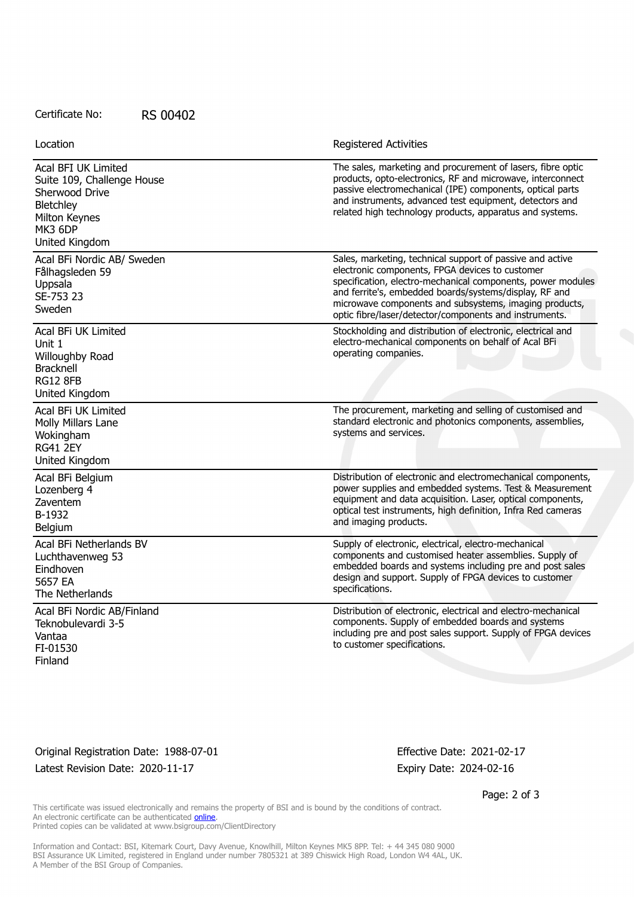#### Certificate No: RS 00402

Location **Exercise 2018 Registered Activities** 

| Acal BFI UK Limited<br>Suite 109, Challenge House<br>Sherwood Drive<br><b>Bletchley</b><br>Milton Keynes<br>MK3 6DP<br>United Kingdom | The sales, marketing and procurement of lasers, fibre optic<br>products, opto-electronics, RF and microwave, interconnect<br>passive electromechanical (IPE) components, optical parts<br>and instruments, advanced test equipment, detectors and<br>related high technology products, apparatus and systems.                                             |
|---------------------------------------------------------------------------------------------------------------------------------------|-----------------------------------------------------------------------------------------------------------------------------------------------------------------------------------------------------------------------------------------------------------------------------------------------------------------------------------------------------------|
| Acal BFi Nordic AB/ Sweden<br>Fålhagsleden 59<br>Uppsala<br>SE-753 23<br>Sweden                                                       | Sales, marketing, technical support of passive and active<br>electronic components, FPGA devices to customer<br>specification, electro-mechanical components, power modules<br>and ferrite's, embedded boards/systems/display, RF and<br>microwave components and subsystems, imaging products,<br>optic fibre/laser/detector/components and instruments. |
| Acal BFi UK Limited<br>Unit 1<br>Willoughby Road<br><b>Bracknell</b><br><b>RG12 8FB</b><br>United Kingdom                             | Stockholding and distribution of electronic, electrical and<br>electro-mechanical components on behalf of Acal BFi<br>operating companies.                                                                                                                                                                                                                |
| Acal BFi UK Limited<br>Molly Millars Lane<br>Wokingham<br><b>RG41 2EY</b><br>United Kingdom                                           | The procurement, marketing and selling of customised and<br>standard electronic and photonics components, assemblies,<br>systems and services.                                                                                                                                                                                                            |
| Acal BFi Belgium<br>Lozenberg 4<br>Zaventem<br>B-1932<br>Belgium                                                                      | Distribution of electronic and electromechanical components,<br>power supplies and embedded systems. Test & Measurement<br>equipment and data acquisition. Laser, optical components,<br>optical test instruments, high definition, Infra Red cameras<br>and imaging products.                                                                            |
| Acal BFi Netherlands BV<br>Luchthavenweg 53<br>Eindhoven<br>5657 EA<br>The Netherlands                                                | Supply of electronic, electrical, electro-mechanical<br>components and customised heater assemblies. Supply of<br>embedded boards and systems including pre and post sales<br>design and support. Supply of FPGA devices to customer<br>specifications.                                                                                                   |
| Acal BFi Nordic AB/Finland<br>Teknobulevardi 3-5<br>Vantaa<br>FI-01530<br>Finland                                                     | Distribution of electronic, electrical and electro-mechanical<br>components. Supply of embedded boards and systems<br>including pre and post sales support. Supply of FPGA devices<br>to customer specifications.                                                                                                                                         |

### Original Registration Date: 1988-07-01 Effective Date: 2021-02-17 Latest Revision Date: 2020-11-17 Expiry Date: 2024-02-16

Page: 2 of 3

This certificate was issued electronically and remains the property of BSI and is bound by the conditions of contract. An electronic certificate can be authenticated **[online](https://pgplus.bsigroup.com/CertificateValidation/CertificateValidator.aspx?CertificateNumber=RS+00402&ReIssueDate=17%2f11%2f2020&Template=uk)**. Printed copies can be validated at www.bsigroup.com/ClientDirectory

Information and Contact: BSI, Kitemark Court, Davy Avenue, Knowlhill, Milton Keynes MK5 8PP. Tel: + 44 345 080 9000 BSI Assurance UK Limited, registered in England under number 7805321 at 389 Chiswick High Road, London W4 4AL, UK. A Member of the BSI Group of Companies.